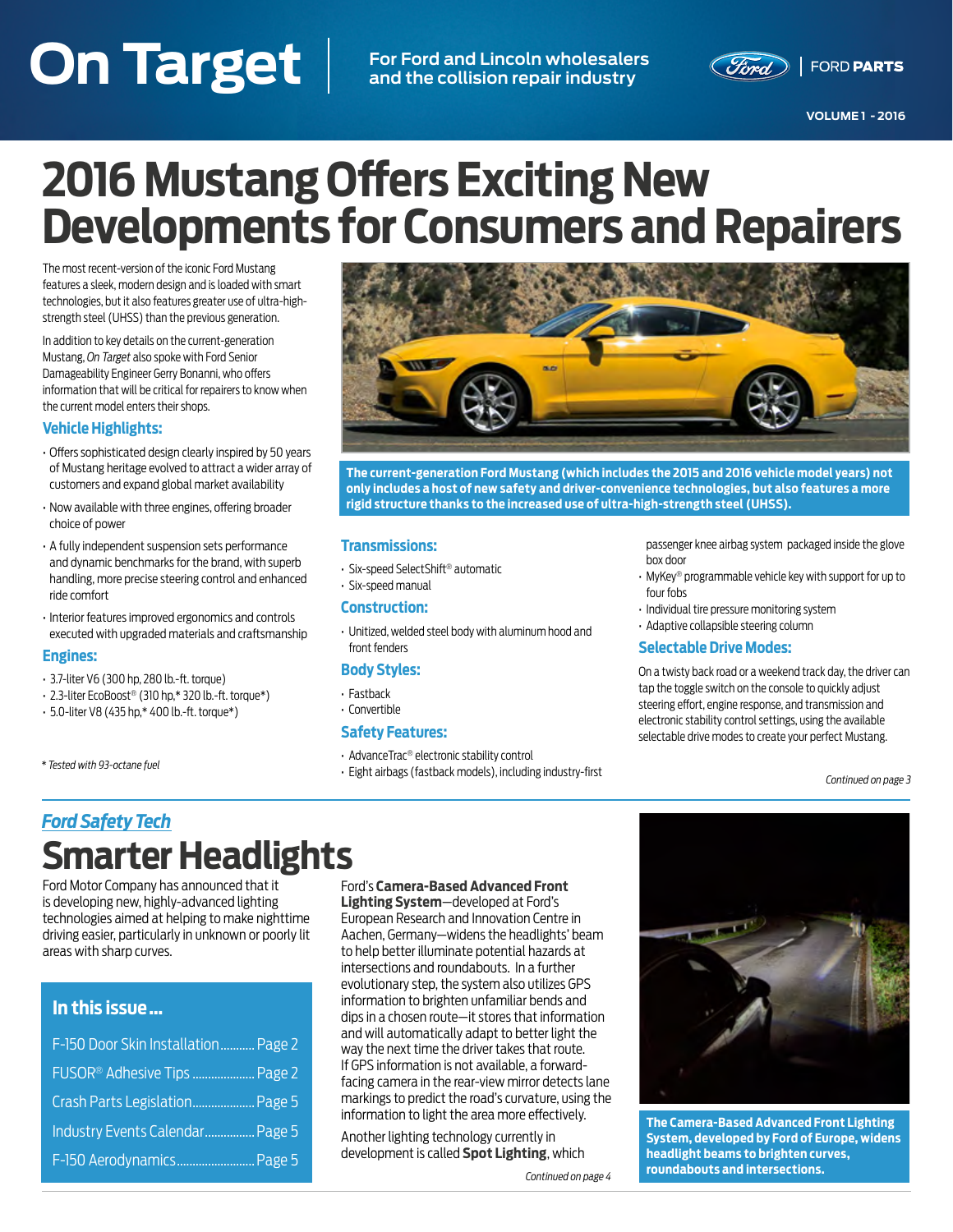### <span id="page-0-0"></span>**On Target Additional Accounts of the Contract Additional Accounts of the Contract Additional Accounts of the Contract Additional Accounts of the Contract Additional Accounts of the Contract Additional Accounts of the Cont On Target For Ford and Lincoln wholesalers and the collision repair industry**



# **2016 Mustang Offers Exciting New Developments for Consumers and Repairers**

The most recent-version of the iconic Ford Mustang features a sleek, modern design and is loaded with smart technologies, but it also features greater use of ultra-highstrength steel (UHSS) than the previous generation.

In addition to key details on the current-generation Mustang, *On Target* also spoke with Ford Senior Damageability Engineer Gerry Bonanni, who offers information that will be critical for repairers to know when the current model enters their shops.

#### **Vehicle Highlights:**

- Offers sophisticated design clearly inspired by 50 years of Mustang heritage evolved to attract a wider array of customers and expand global market availability
- Now available with three engines, offering broader choice of power
- A fully independent suspension sets performance and dynamic benchmarks for the brand, with superb handling, more precise steering control and enhanced ride comfort
- Interior features improved ergonomics and controls executed with upgraded materials and craftsmanship

#### **Engines:**

- 3.7-liter V6 (300 hp, 280 lb.-ft. torque)
- 2.3-liter EcoBoost® (310 hp,\* 320 lb.-ft. torque\*)
- 5.0-liter V8 (435 hp,\* 400 lb.-ft. torque\*)

*\* Tested with 93-octane fuel*



**The current-generation Ford Mustang (which includes the 2015 and 2016 vehicle model years) not only includes a host of new safety and driver-convenience technologies, but also features a more rigid structure thanks to the increased use of ultra-high-strength steel (UHSS).**

#### **Transmissions:**

- Six-speed SelectShift® automatic
- Six-speed manual

#### **Construction:**

• Unitized, welded steel body with aluminum hood and front fenders

#### **Body Styles:**

- Fastback
- Convertible

#### **Safety Features:**

- AdvanceTrac® electronic stability control
- Eight airbags (fastback models), including industry-first

passenger knee airbag system packaged inside the glove box door

- MyKey® programmable vehicle key with support for up to four fobs
- Individual tire pressure monitoring system
- Adaptive collapsible steering column

#### **Selectable Drive Modes:**

On a twisty back road or a weekend track day, the driver can tap the toggle switch on the console to quickly adjust steering effort, engine response, and transmission and electronic stability control settings, using the available selectable drive modes to create your perfect Mustang.

*[Continued on page 3](#page-2-0)*

### *Ford Safety Tech* **Smarter Headlights**

Ford Motor Company has announced that it is developing new, highly-advanced lighting technologies aimed at helping to make nighttime driving easier, particularly in unknown or poorly lit areas with sharp curves.

#### **In this issue …**

| F-150 Door Skin Installation Page 2      |  |
|------------------------------------------|--|
| FUSOR <sup>®</sup> Adhesive Tips  Page 2 |  |
| Crash Parts Legislation Page 5           |  |
| Industry Events Calendar Page 5          |  |
| F-150 Aerodynamics Page 5                |  |

#### Ford's **Camera-Based Advanced Front**

**Lighting System**—developed at Ford's European Research and Innovation Centre in Aachen, Germany—widens the headlights' beam to help better illuminate potential hazards at intersections and roundabouts. In a further evolutionary step, the system also utilizes GPS information to brighten unfamiliar bends and dips in a chosen route—it stores that information and will automatically adapt to better light the way the next time the driver takes that route. If GPS information is not available, a forwardfacing camera in the rear-view mirror detects lane markings to predict the road's curvature, using the information to light the area more effectively.

Another lighting technology currently in development is called **Spot Lighting**, which

*[Continued on page 4](#page-3-0)*



**The Camera-Based Advanced Front Lighting System, developed by Ford of Europe, widens headlight beams to brighten curves, roundabouts and intersections.**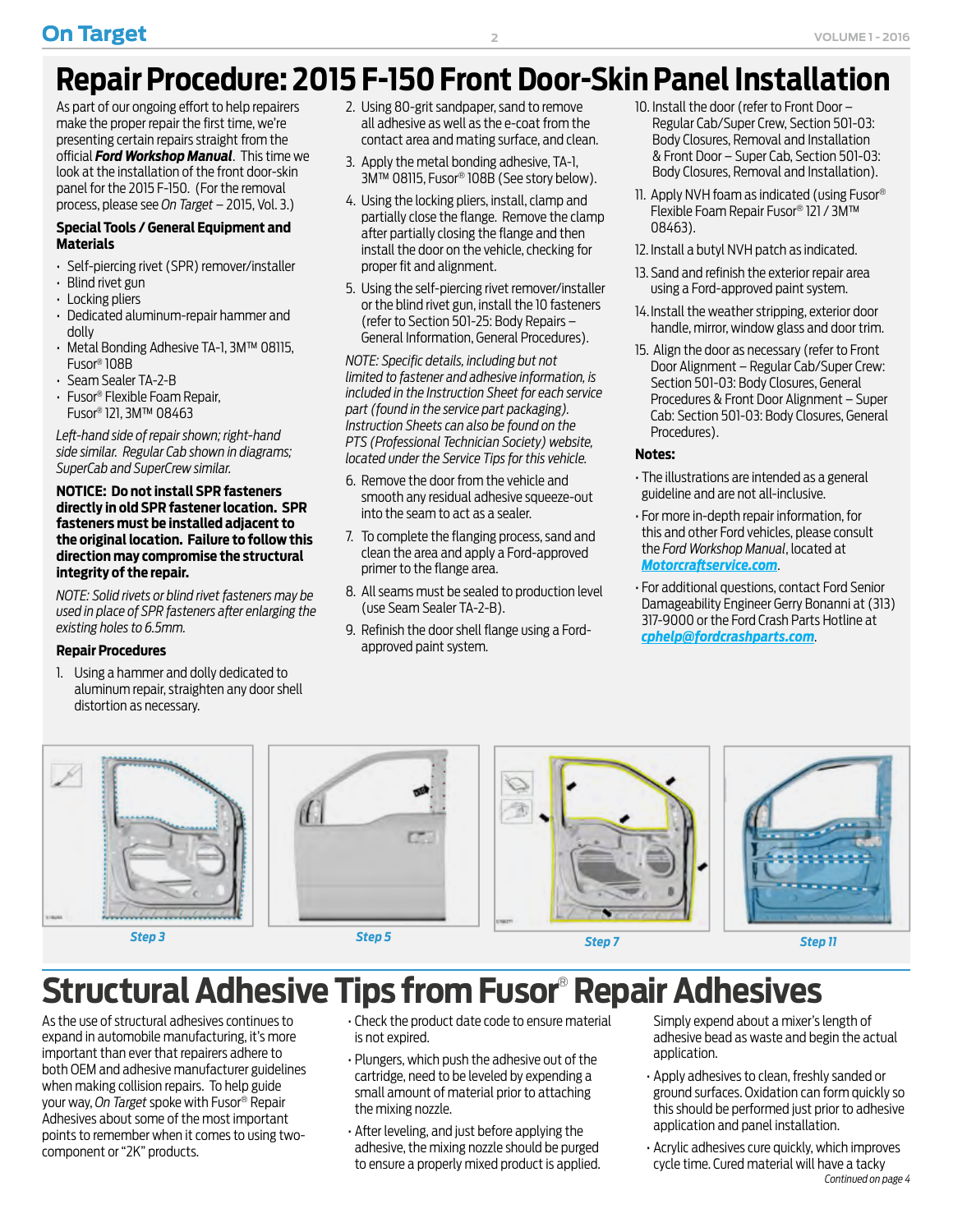# <span id="page-1-0"></span>**Repair Procedure: 2015 F-150 Front Door-Skin Panel Installation**

As part of our ongoing effort to help repairers make the proper repair the first time, we're presenting certain repairs straight from the official *Ford Workshop Manual*. This time we look at the installation of the front door-skin panel for the 2015 F-150. (For the removal process, please see *On Target* – 2015, Vol. 3.)

#### **Special Tools / General Equipment and Materials**

- Self-piercing rivet (SPR) remover/installer
- Blind rivet gun
- Locking pliers
- Dedicated aluminum-repair hammer and dolly
- Metal Bonding Adhesive TA-1, 3M™ 08115, Fusor® 108B
- Seam Sealer TA-2-B
- Fusor® Flexible Foam Repair, Fusor® 121, 3M™ 08463

*Left-hand side of repair shown; right-hand side similar. Regular Cab shown in diagrams; SuperCab and SuperCrew similar.*

#### **NOTICE: Do not install SPR fasteners directly in old SPR fastener location. SPR fasteners must be installed adjacent to the original location. Failure to follow this direction may compromise the structural integrity of the repair.**

*NOTE: Solid rivets or blind rivet fasteners may be used in place of SPR fasteners after enlarging the existing holes to 6.5mm.*

#### **Repair Procedures**

1. Using a hammer and dolly dedicated to aluminum repair, straighten any door shell distortion as necessary.

- 2. Using 80-grit sandpaper, sand to remove all adhesive as well as the e-coat from the contact area and mating surface, and clean.
- 3. Apply the metal bonding adhesive, TA-1, 3M™ 08115, Fusor® 108B (See story below).
- 4. Using the locking pliers, install, clamp and partially close the flange. Remove the clamp after partially closing the flange and then install the door on the vehicle, checking for proper fit and alignment.
- 5. Using the self-piercing rivet remover/installer or the blind rivet gun, install the 10 fasteners (refer to Section 501-25: Body Repairs – General Information, General Procedures).

*NOTE: Specific details, including but not limited to fastener and adhesive information, is included in the Instruction Sheet for each service part (found in the service part packaging). Instruction Sheets can also be found on the PTS (Professional Technician Society) website, located under the Service Tips for this vehicle.*

- 6. Remove the door from the vehicle and smooth any residual adhesive squeeze-out into the seam to act as a sealer.
- 7. To complete the flanging process, sand and clean the area and apply a Ford-approved primer to the flange area.
- 8. All seams must be sealed to production level (use Seam Sealer TA-2-B).
- 9. Refinish the door shell flange using a Fordapproved paint system.
- 10. Install the door (refer to Front Door Regular Cab/Super Crew, Section 501-03: Body Closures, Removal and Installation & Front Door – Super Cab, Section 501-03: Body Closures, Removal and Installation).
- 11. Apply NVH foam as indicated (using Fusor® Flexible Foam Repair Fusor® 121 / 3M™ 08463).
- 12. Install a butyl NVH patch as indicated.
- 13. Sand and refinish the exterior repair area using a Ford-approved paint system.
- 14. Install the weather stripping, exterior door handle, mirror, window glass and door trim.
- 15. Align the door as necessary (refer to Front Door Alignment – Regular Cab/Super Crew: Section 501-03: Body Closures, General Procedures & Front Door Alignment – Super Cab: Section 501-03: Body Closures, General Procedures).

#### **Notes:**

- The illustrations are intended as a general guideline and are not all-inclusive.
- For more in-depth repair information, for this and other Ford vehicles, please consult the *Ford Workshop Manual*, located at *[Motorcraftservice.com](http://www.MotorCraftService.com)*.
- For additional questions, contact Ford Senior Damageability Engineer Gerry Bonanni at (313) 317-9000 or the Ford Crash Parts Hotline at *[cphelp@fordcrashparts.com](mailto:cphelp@fordcrashparts.com)*.











*Step 3 Step 5 Step 7 Step 11*

# **Structural Adhesive Tips from Fusor**®  **Repair Adhesives**

As the use of structural adhesives continues to expand in automobile manufacturing, it's more important than ever that repairers adhere to both OEM and adhesive manufacturer guidelines when making collision repairs. To help guide your way, *On Target* spoke with Fusor® Repair Adhesives about some of the most important points to remember when it comes to using twocomponent or "2K" products.

- Check the product date code to ensure material is not expired.
- Plungers, which push the adhesive out of the cartridge, need to be leveled by expending a small amount of material prior to attaching the mixing nozzle.
- After leveling, and just before applying the adhesive, the mixing nozzle should be purged to ensure a properly mixed product is applied.

Simply expend about a mixer's length of adhesive bead as waste and begin the actual application.

- Apply adhesives to clean, freshly sanded or ground surfaces. Oxidation can form quickly so this should be performed just prior to adhesive application and panel installation.
- Acrylic adhesives cure quickly, which improves cycle time. Cured material will have a tacky *[Continued on page 4](#page-3-0)*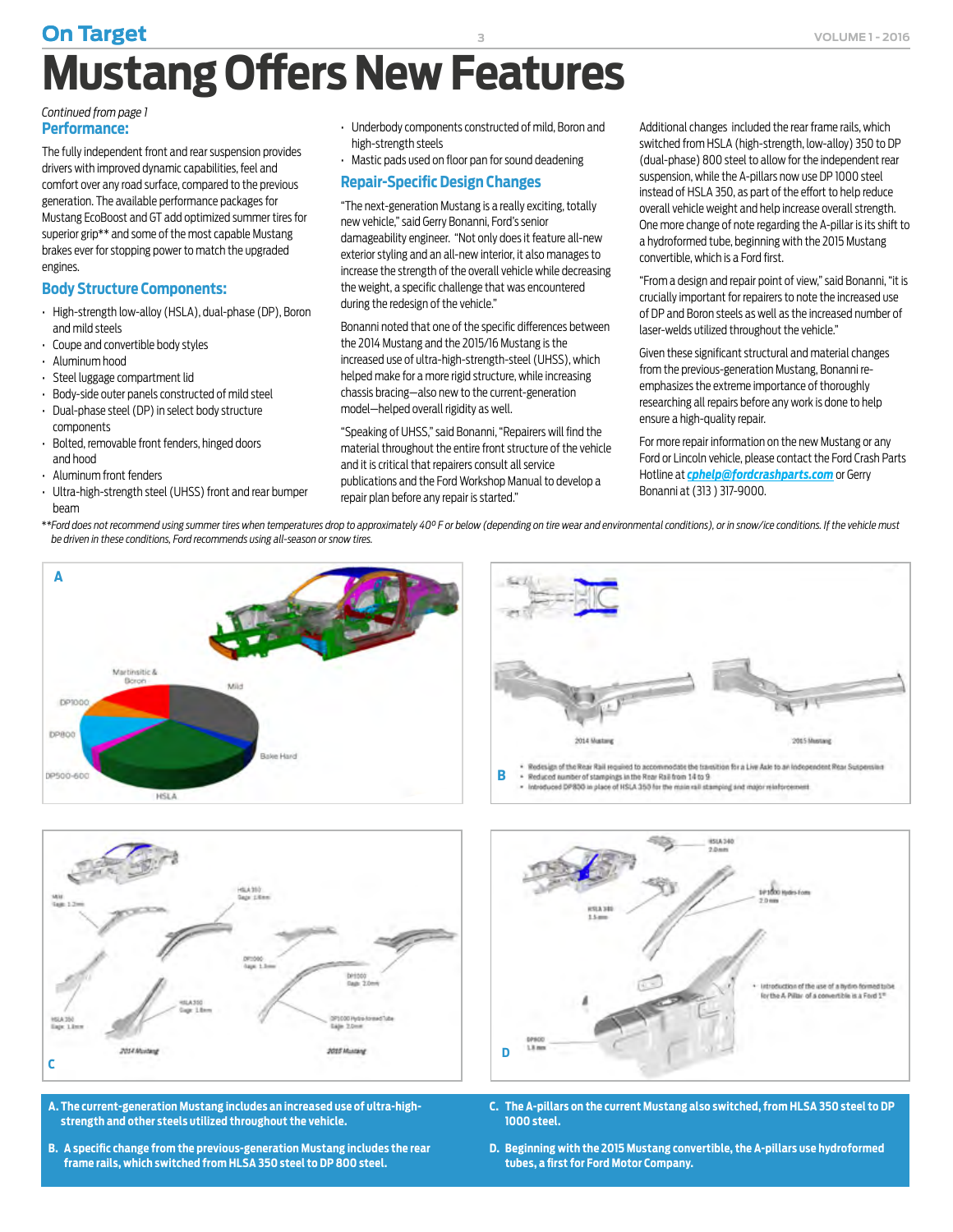# <span id="page-2-0"></span>**On Target 3 VOLUME 1-2016 Mustang Offers New Features**

#### **Performance:** *[Continued from page 1](#page-0-0)*

The fully independent front and rear suspension provides drivers with improved dynamic capabilities, feel and comfort over any road surface, compared to the previous generation. The available performance packages for Mustang EcoBoost and GT add optimized summer tires for superior grip\*\* and some of the most capable Mustang brakes ever for stopping power to match the upgraded engines.

#### **Body Structure Components:**

- High-strength low-alloy (HSLA), dual-phase (DP), Boron and mild steels
- Coupe and convertible body styles
- Aluminum hood
- Steel luggage compartment lid
- Body-side outer panels constructed of mild steel
- Dual-phase steel (DP) in select body structure components
- Bolted, removable front fenders, hinged doors and hood
- Aluminum front fenders
- Ultra-high-strength steel (UHSS) front and rear bumper beam
- Underbody components constructed of mild, Boron and high-strength steels
- Mastic pads used on floor pan for sound deadening

#### **Repair-Specific Design Changes**

"The next-generation Mustang is a really exciting, totally new vehicle," said Gerry Bonanni, Ford's senior damageability engineer. "Not only does it feature all-new exterior styling and an all-new interior, it also manages to increase the strength of the overall vehicle while decreasing the weight, a specific challenge that was encountered during the redesign of the vehicle."

Bonanni noted that one of the specific differences between the 2014 Mustang and the 2015/16 Mustang is the increased use of ultra-high-strength-steel (UHSS), which helped make for a more rigid structure, while increasing chassis bracing—also new to the current-generation model—helped overall rigidity as well.

"Speaking of UHSS," said Bonanni, "Repairers will find the material throughout the entire front structure of the vehicle and it is critical that repairers consult all service publications and the Ford Workshop Manual to develop a repair plan before any repair is started."

Additional changes included the rear frame rails, which switched from HSLA (high-strength, low-alloy) 350 to DP (dual-phase) 800 steel to allow for the independent rear suspension, while the A-pillars now use DP 1000 steel instead of HSLA 350, as part of the effort to help reduce overall vehicle weight and help increase overall strength. One more change of note regarding the A-pillar is its shift to a hydroformed tube, beginning with the 2015 Mustang convertible, which is a Ford first.

"From a design and repair point of view," said Bonanni, "it is crucially important for repairers to note the increased use of DP and Boron steels as well as the increased number of laser-welds utilized throughout the vehicle."

Given these significant structural and material changes from the previous-generation Mustang, Bonanni reemphasizes the extreme importance of thoroughly researching all repairs before any work is done to help ensure a high-quality repair.

For more repair information on the new Mustang or any Ford or Lincoln vehicle, please contact the Ford Crash Parts Hotline at *[cphelp@fordcrashparts.com](mailto:cphelp@fordcrashparts.com)* or Gerry Bonanni at (313 ) 317-9000.

*\*\*Ford does not recommend using summer tires when temperatures drop to approximately 40° F or below (depending on tire wear and environmental conditions), or in snow/ice conditions. If the vehicle must be driven in these conditions, Ford recommends using all-season or snow tires.*





**B** . Reduced number of stampings in the Rear Rail from 14 to 9 . Introduced DP800 in place of HSLA 350 for the main rall stamping and major relatorcement



- **A. The current-generation Mustang includes an increased use of ultra-highstrength and other steels utilized throughout the vehicle.**
- **B. A specific change from the previous-generation Mustang includes the rear frame rails, which switched from HLSA 350 steel to DP 800 steel.**



- **C. The A-pillars on the current Mustang also switched, from HLSA 350 steel to DP 1000 steel.**
- **D. Beginning with the 2015 Mustang convertible, the A-pillars use hydroformed tubes, a first for Ford Motor Company.**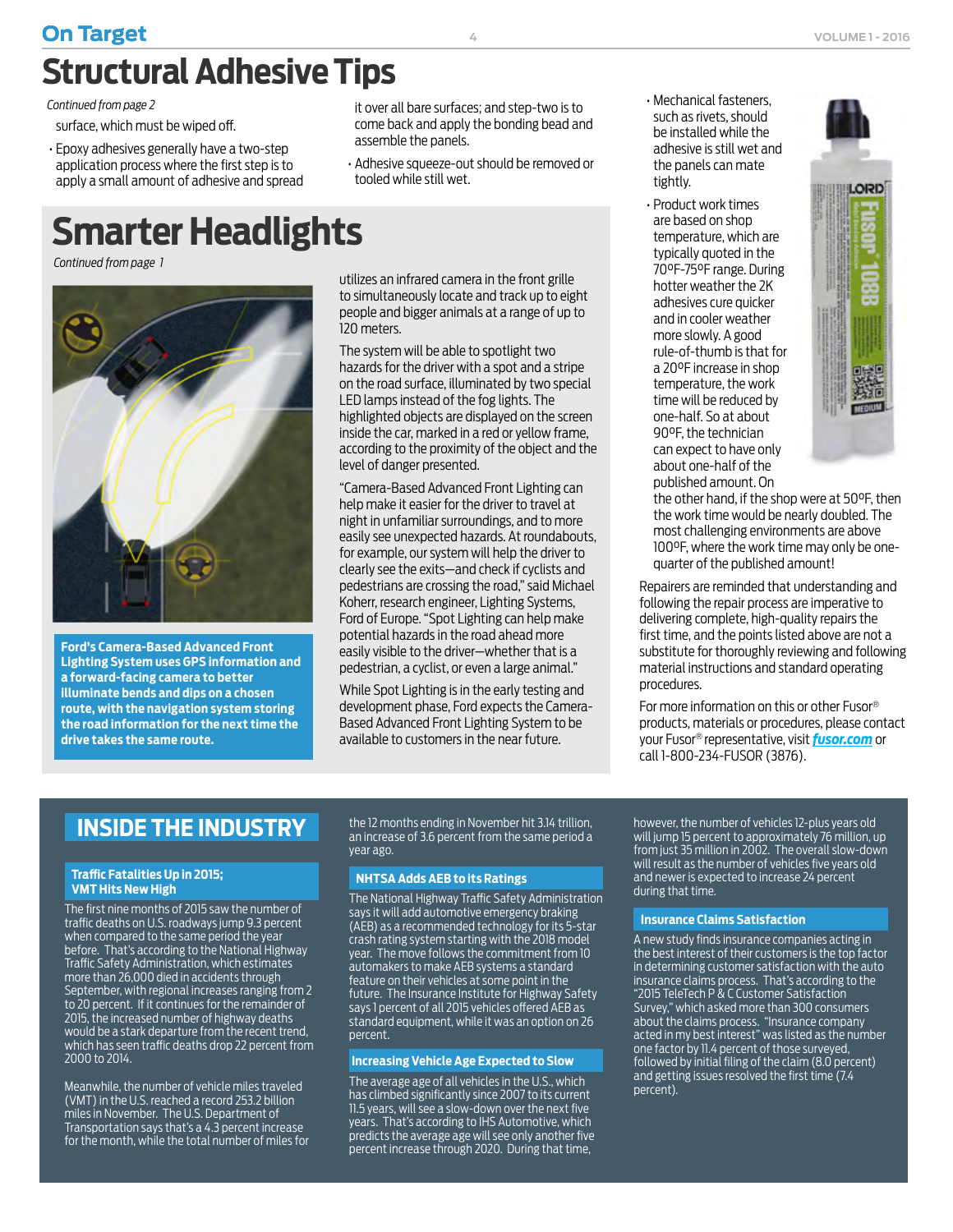## <span id="page-3-0"></span>**On Target 4 VOLUME 1 - 2016 Structural Adhesive Tips**

*[Continued from page 2](#page-1-0)* 

surface, which must be wiped off.

• Epoxy adhesives generally have a two-step application process where the first step is to apply a small amount of adhesive and spread

# **Smarter Headlights**

*[Continued from page 1](#page-0-0)*



**Ford's Camera-Based Advanced Front Lighting System uses GPS information and a forward-facing camera to better illuminate bends and dips on a chosen route, with the navigation system storing the road information for the next time the drive takes the same route.** 

it over all bare surfaces; and step-two is to come back and apply the bonding bead and assemble the panels.

• Adhesive squeeze-out should be removed or tooled while still wet.

utilizes an infrared camera in the front grille to simultaneously locate and track up to eight people and bigger animals at a range of up to 120 meters.

The system will be able to spotlight two hazards for the driver with a spot and a stripe on the road surface, illuminated by two special LED lamps instead of the fog lights. The highlighted objects are displayed on the screen inside the car, marked in a red or yellow frame, according to the proximity of the object and the level of danger presented.

"Camera-Based Advanced Front Lighting can help make it easier for the driver to travel at night in unfamiliar surroundings, and to more easily see unexpected hazards. At roundabouts, for example, our system will help the driver to clearly see the exits—and check if cyclists and pedestrians are crossing the road," said Michael Koherr, research engineer, Lighting Systems, Ford of Europe. "Spot Lighting can help make potential hazards in the road ahead more easily visible to the driver—whether that is a pedestrian, a cyclist, or even a large animal."

While Spot Lighting is in the early testing and development phase, Ford expects the Camera-Based Advanced Front Lighting System to be available to customers in the near future.

- Mechanical fasteners, such as rivets, should be installed while the adhesive is still wet and the panels can mate tightly.
- Product work times are based on shop temperature, which are typically quoted in the 70°F-75°F range. During hotter weather the 2K adhesives cure quicker and in cooler weather more slowly. A good rule-of-thumb is that for a 20°F increase in shop temperature, the work time will be reduced by one-half. So at about 90°F, the technician can expect to have only about one-half of the published amount. On



the other hand, if the shop were at 50°F, then the work time would be nearly doubled. The most challenging environments are above 100°F, where the work time may only be onequarter of the published amount!

Repairers are reminded that understanding and following the repair process are imperative to delivering complete, high-quality repairs the first time, and the points listed above are not a substitute for thoroughly reviewing and following material instructions and standard operating procedures.

For more information on this or other Fusor® products, materials or procedures, please contact your Fusor® representative, visit *[fusor.com](http://fusor.com)* or call 1-800-234-FUSOR (3876).

### **INSIDE THE INDUSTRY**

#### **Traffic Fatalities Up in 2015; VMT Hits New High**

The first nine months of 2015 saw the number of traffic deaths on U.S. roadways jump 9.3 percent when compared to the same period the year before. That's according to the National Highway Traffic Safety Administration, which estimates more than 26,000 died in accidents through September, with regional increases ranging from 2 to 20 percent. If it continues for the remainder of 2015, the increased number of highway deaths would be a stark departure from the recent trend, which has seen traffic deaths drop 22 percent from 2000 to 2014.

Meanwhile, the number of vehicle miles traveled (VMT) in the U.S. reached a record 253.2 billion miles in November. The U.S. Department of Transportation says that's a 4.3 percent increase for the month, while the total number of miles for the 12 months ending in November hit 3.14 trillion, an increase of 3.6 percent from the same period a year ago.

#### **NHTSA Adds AEB to its Ratings**

The National Highway Traffic Safety Administration says it will add automotive emergency braking (AEB) as a recommended technology for its 5-star crash rating system starting with the 2018 model year. The move follows the commitment from 10 automakers to make AEB systems a standard feature on their vehicles at some point in the future. The Insurance Institute for Highway Safety says 1 percent of all 2015 vehicles offered AEB as standard equipment, while it was an option on 26 percent.

#### **Increasing Vehicle Age Expected to Slow**

The average age of all vehicles in the U.S., which has climbed significantly since 2007 to its current 11.5 years, will see a slow-down over the next five years. That's according to IHS Automotive, which predicts the average age will see only another five percent increase through 2020. During that time,

however, the number of vehicles 12-plus years old will jump 15 percent to approximately 76 million, up from just 35 million in 2002. The overall slow-down will result as the number of vehicles five years old and newer is expected to increase 24 percent during that time.

#### **Insurance Claims Satisfaction**

A new study finds insurance companies acting in the best interest of their customers is the top factor in determining customer satisfaction with the auto insurance claims process. That's according to the "2015 TeleTech P & C Customer Satisfaction Survey," which asked more than 300 consumers about the claims process. "Insurance company acted in my best interest" was listed as the number one factor by 11.4 percent of those surveyed, followed by initial filing of the claim (8.0 percent) and getting issues resolved the first time (7.4 percent).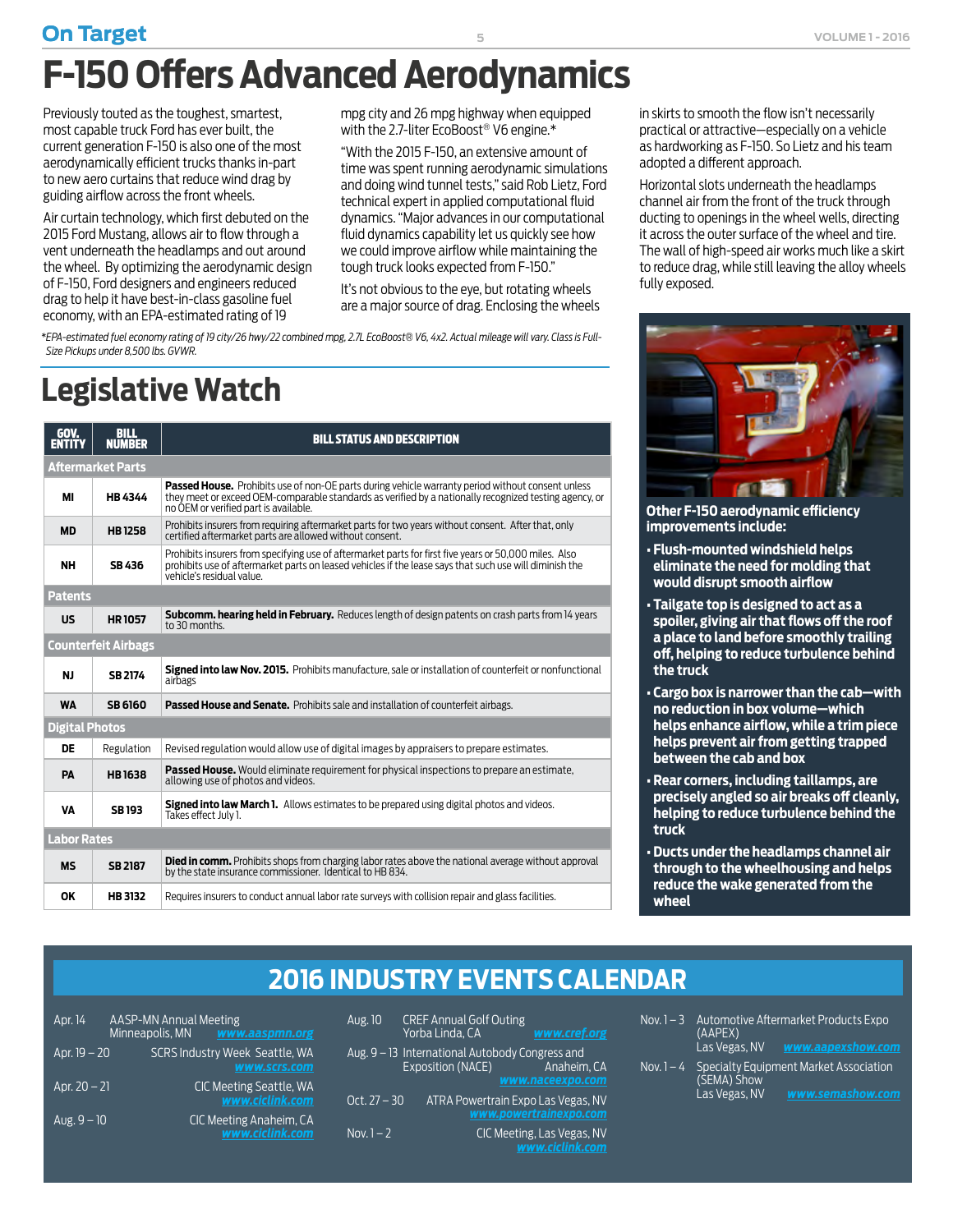## <span id="page-4-0"></span>**On Target 1 College 1 - 2016 5 College 1 - 2016 5 College 1 - 2016 6 College 1 - 2016 F-150 Offers Advanced Aerodynamics**

Previously touted as the toughest, smartest, most capable truck Ford has ever built, the current generation F-150 is also one of the most aerodynamically efficient trucks thanks in-part to new aero curtains that reduce wind drag by guiding airflow across the front wheels.

Air curtain technology, which first debuted on the 2015 Ford Mustang, allows air to flow through a vent underneath the headlamps and out around the wheel. By optimizing the aerodynamic design of F-150, Ford designers and engineers reduced drag to help it have best-in-class gasoline fuel economy, with an EPA-estimated rating of 19

mpg city and 26 mpg highway when equipped with the 2.7-liter EcoBoost® V6 engine.\*

"With the 2015 F-150, an extensive amount of time was spent running aerodynamic simulations and doing wind tunnel tests," said Rob Lietz, Ford technical expert in applied computational fluid dynamics. "Major advances in our computational fluid dynamics capability let us quickly see how we could improve airflow while maintaining the tough truck looks expected from F-150."

It's not obvious to the eye, but rotating wheels are a major source of drag. Enclosing the wheels

*\*EPA-estimated fuel economy rating of 19 city/26 hwy/22 combined mpg, 2.7L EcoBoost® V6, 4x2. Actual mileage will vary. Class is Full-Size Pickups under 8,500 lbs. GVWR.* 

# **Legislative Watch**

| GOV.<br><b>ENTITY</b>      | <b>BILL</b><br><b>NUMBER</b> | <b>BILL STATUS AND DESCRIPTION</b>                                                                                                                                                                                                                          |  |
|----------------------------|------------------------------|-------------------------------------------------------------------------------------------------------------------------------------------------------------------------------------------------------------------------------------------------------------|--|
|                            | Aftermarket Parts            |                                                                                                                                                                                                                                                             |  |
| м                          | <b>HB4344</b>                | <b>Passed House.</b> Prohibits use of non-OE parts during vehicle warranty period without consent unless<br>they meet or exceed OEM-comparable standards as verified by a nationally recognized testing agency, or<br>no OEM or verified part is available. |  |
| <b>MD</b>                  | <b>HB1258</b>                | Prohibits insurers from requiring aftermarket parts for two years without consent. After that, only<br>certified aftermarket parts are allowed without consent.                                                                                             |  |
| <b>NH</b>                  | SB 436                       | Prohibits insurers from specifying use of aftermarket parts for first five years or 50,000 miles. Also<br>prohibits use of aftermarket parts on leased vehicles if the lease says that such use will diminish the<br>vehicle's residual value.              |  |
| <b>Patents</b>             |                              |                                                                                                                                                                                                                                                             |  |
| <b>US</b>                  | <b>HR1057</b>                | <b>Subcomm. hearing held in February.</b> Reduces length of design patents on crash parts from 14 years<br>to 30 months                                                                                                                                     |  |
| <b>Counterfeit Airbags</b> |                              |                                                                                                                                                                                                                                                             |  |
| <b>NJ</b>                  | <b>SB 2174</b>               | <b>Signed into law Nov. 2015.</b> Prohibits manufacture, sale or installation of counterfeit or nonfunctional<br>airbags                                                                                                                                    |  |
| <b>WA</b>                  | <b>SB 6160</b>               | <b>Passed House and Senate.</b> Prohibits sale and installation of counterfeit airbags.                                                                                                                                                                     |  |
| <b>Digital Photos</b>      |                              |                                                                                                                                                                                                                                                             |  |
| DE                         | Regulation                   | Revised regulation would allow use of digital images by appraisers to prepare estimates.                                                                                                                                                                    |  |
| PA                         | <b>HB1638</b>                | Passed House. Would eliminate requirement for physical inspections to prepare an estimate,<br>allowing use of photos and videos.                                                                                                                            |  |
| VA                         | <b>SB193</b>                 | Signed into law March 1. Allows estimates to be prepared using digital photos and videos.<br>Takes effect July 1.                                                                                                                                           |  |
| <b>Labor Rates</b>         |                              |                                                                                                                                                                                                                                                             |  |
| <b>MS</b>                  | <b>SB 2187</b>               | <b>Died in comm.</b> Prohibits shops from charging labor rates above the national average without approval<br>by the state insurance commissioner. Identical to HB 834.                                                                                     |  |
| OK                         | <b>HB 3132</b>               | Requires insurers to conduct annual labor rate surveys with collision repair and glass facilities.                                                                                                                                                          |  |

in skirts to smooth the flow isn't necessarily practical or attractive—especially on a vehicle as hardworking as F-150. So Lietz and his team adopted a different approach.

Horizontal slots underneath the headlamps channel air from the front of the truck through ducting to openings in the wheel wells, directing it across the outer surface of the wheel and tire. The wall of high-speed air works much like a skirt to reduce drag, while still leaving the alloy wheels fully exposed.



**Other F-150 aerodynamic efficiency improvements include:**

- **Flush-mounted windshield helps eliminate the need for molding that would disrupt smooth airflow**
- **Tailgate top is designed to act as a spoiler, giving air that flows off the roof a place to land before smoothly trailing off, helping to reduce turbulence behind the truck**
- **Cargo box is narrower than the cab—with no reduction in box volume—which helps enhance airflow, while a trim piece helps prevent air from getting trapped between the cab and box**
- **Rear corners, including taillamps, are precisely angled so air breaks off cleanly, helping to reduce turbulence behind the truck**
- **Ducts under the headlamps channel air through to the wheelhousing and helps reduce the wake generated from the wheel**

### **2016 INDUSTRY EVENTS CALENDAR**

| Apr. 14        | <b>AASP-MN Annual Meeting</b><br>Minneapolis, MN | www.aaspmn.org                                               |
|----------------|--------------------------------------------------|--------------------------------------------------------------|
| Apr. 19 – 20   |                                                  | <b>SCRS Industry Week Seattle, WA</b><br><b>WWW.SCrS.COM</b> |
| Apr. $20 - 21$ |                                                  | <b>CIC Meeting Seattle, WA</b><br>www.ciclink.com            |
| $Aug. 9 - 10$  |                                                  | CIC Meeting Anaheim, CA<br>www.ciclink.com                   |

| Aug. 10      | <b>CREF Annual Golf Outing</b><br>Yorba Linda, CA                           | www.cref.org                                         |
|--------------|-----------------------------------------------------------------------------|------------------------------------------------------|
|              | Aug. 9 – 13 International Autobody Congress and<br><b>Exposition (NACE)</b> | Anaheim. CA<br>www.naceexpo.com                      |
| Oct. 27 – 30 | ATRA Powertrain Expo Las Vegas, NV                                          | www.powertrainexpo.com                               |
| Nov. $1 - 2$ |                                                                             | <b>CIC Meeting, Las Vegas, NV</b><br>www.ciclink.com |

| Nov. 1 – 3 | (AAPEX)<br>Las Vegas, NV     | Automotive Aftermarket Products Expo<br>www.aapexshow.com  |
|------------|------------------------------|------------------------------------------------------------|
| Nov. 1 – 4 | (SEMA) Show<br>Las Vegas, NV | Specialty Equipment Market Association<br>www.semashow.com |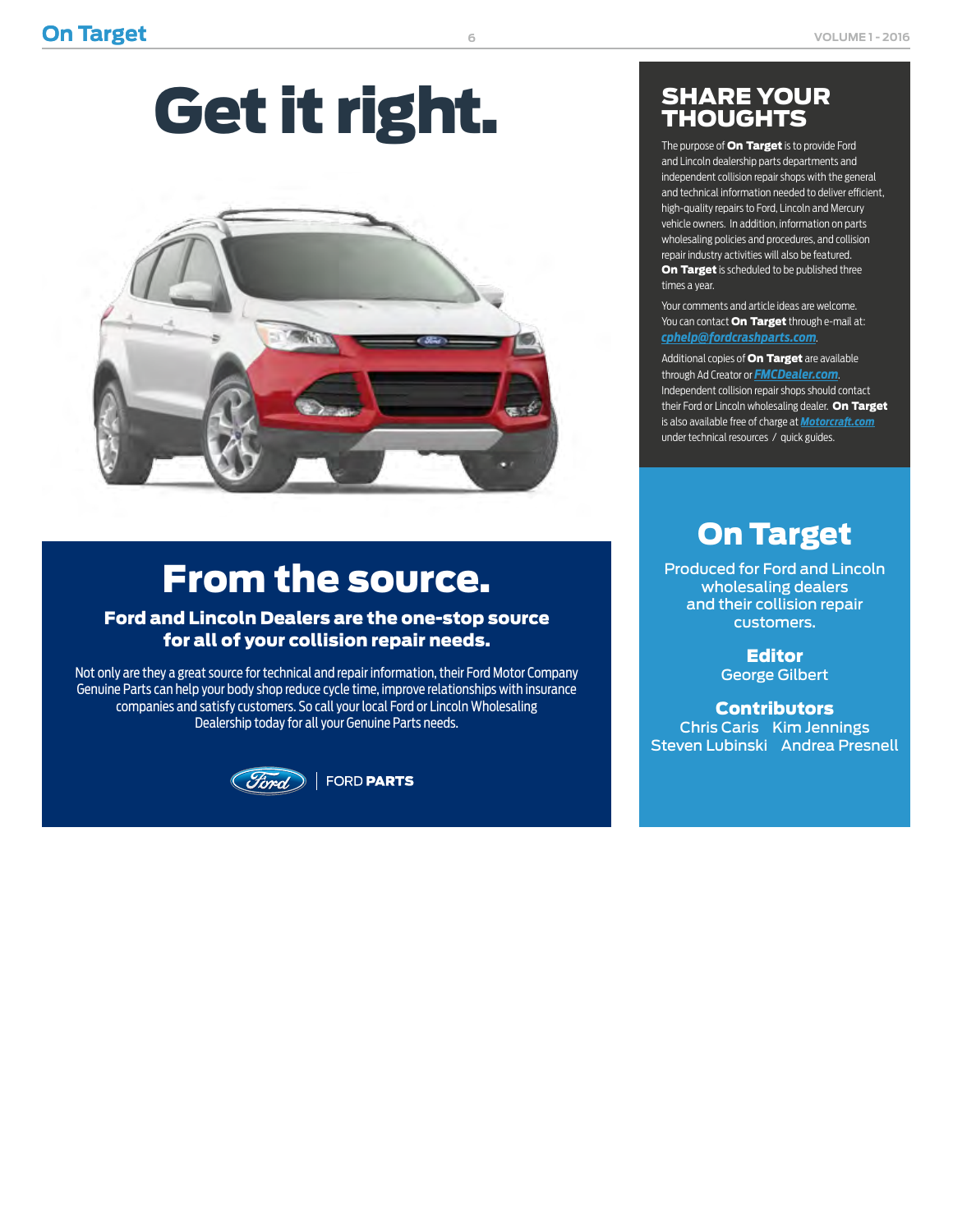# Get it right.



# From the source.

#### Ford and Lincoln Dealers are the one-stop source for all of your collision repair needs.

Not only are they a great source for technical and repair information, their Ford Motor Company Genuine Parts can help your body shop reduce cycle time, improve relationships with insurance companies and satisfy customers. So call your local Ford or Lincoln Wholesaling Dealership today for all your Genuine Parts needs.



### SHARE YOUR **THOUGHTS**

The purpose of **On Target** is to provide Ford and Lincoln dealership parts departments and independent collision repair shops with the general and technical information needed to deliver efficient, high-quality repairs to Ford, Lincoln and Mercury vehicle owners. In addition, information on parts wholesaling policies and procedures, and collision repair industry activities will also be featured. On Target is scheduled to be published three times a year.

Your comments and article ideas are welcome. You can contact **On Target** through e-mail at: *[cphelp@fordcrashparts.com](mailto:cphelp%40fordcrashparts.com?subject=)*.

Additional copies of **On Target** are available through Ad Creator or *[FMCDealer.com](https://www.wslx.dealerconnection.com)*. Independent collision repair shops should contact their Ford or Lincoln wholesaling dealer. On Target is also available free of charge at *[Motorcraft.com](http://Motorcraft.com)* under technical resources / quick guides.

### On Target

Produced for Ford and Lincoln wholesaling dealers and their collision repair customers.

> Editor George Gilbert

**Contributors** Chris Caris Kim Jennings Steven Lubinski Andrea Presnell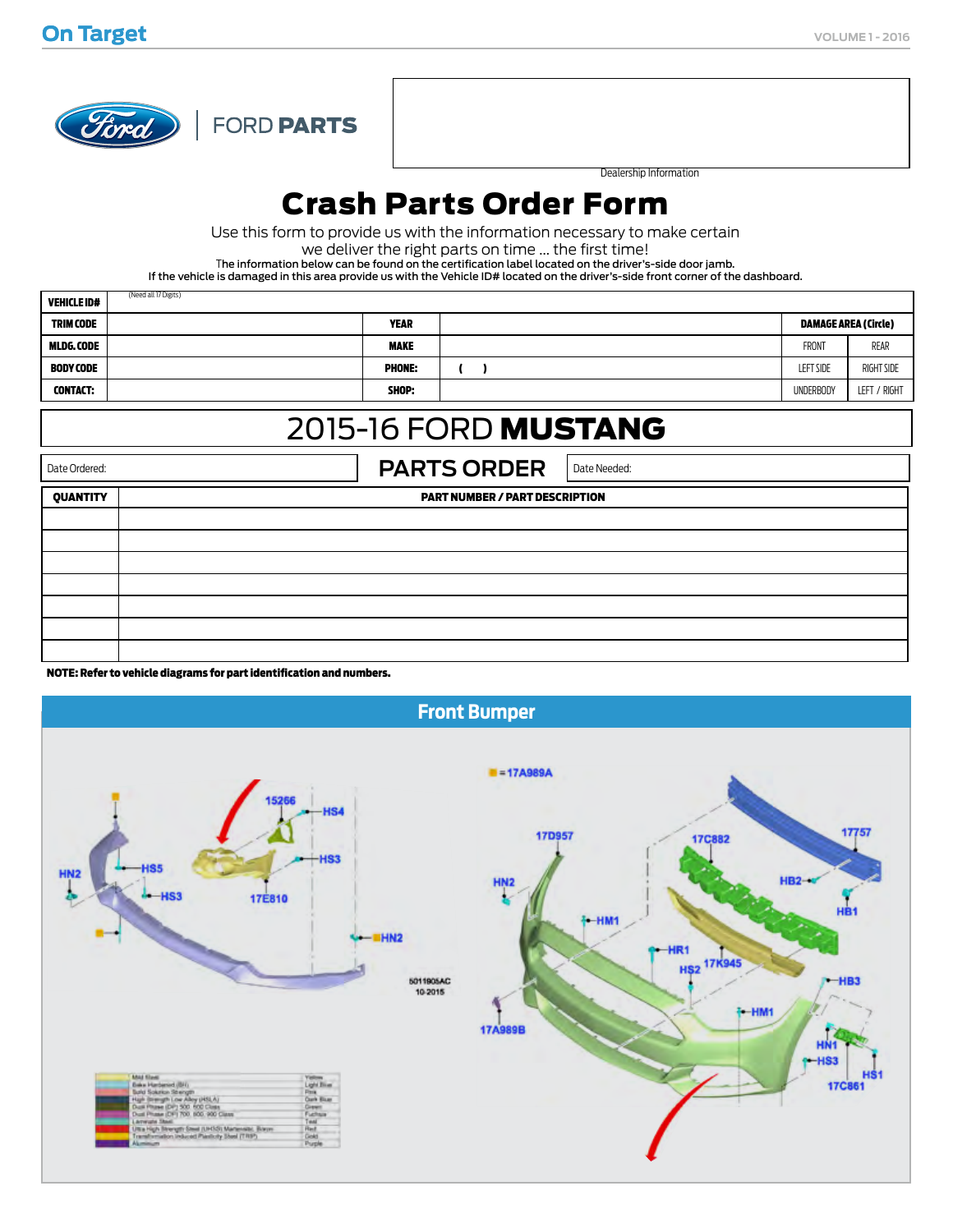

(Need all 17 Digits)

FORD PARTS

Dealership Information

### Crash Parts Order Form

Use this form to provide us with the information necessary to make certain

we deliver the right parts on time ... the first time!

The information below can be found on the certification label located on the driver's-side door jamb.

If the vehicle is damaged in this area provide us with the Vehicle ID# located on the driver's-side front corner of the dashboard.

| <b>VEHICLE ID#</b> | (Need all 17 Digits)                       |               |                  |              |
|--------------------|--------------------------------------------|---------------|------------------|--------------|
| <b>TRIM CODE</b>   | <b>YEAR</b><br><b>DAMAGE AREA (Circle)</b> |               |                  |              |
| MLDG.CODE          |                                            | <b>MAKE</b>   | <b>FRONT</b>     | REAR         |
| <b>BODY CODE</b>   |                                            | <b>PHONE:</b> | <b>LEFT SIDE</b> | RIGHT SIDE   |
| <b>CONTACT:</b>    |                                            | SHOP:         | <b>UNDERBODY</b> | LEFT / RIGHT |

### 2015-16 FORD MUSTANG

Date Ordered: **PARTS ORDER** Date Needed: QUANTITY PART NUMBER / PART DESCRIPTION

NOTE: Refer to vehicle diagrams for part identification and numbers.